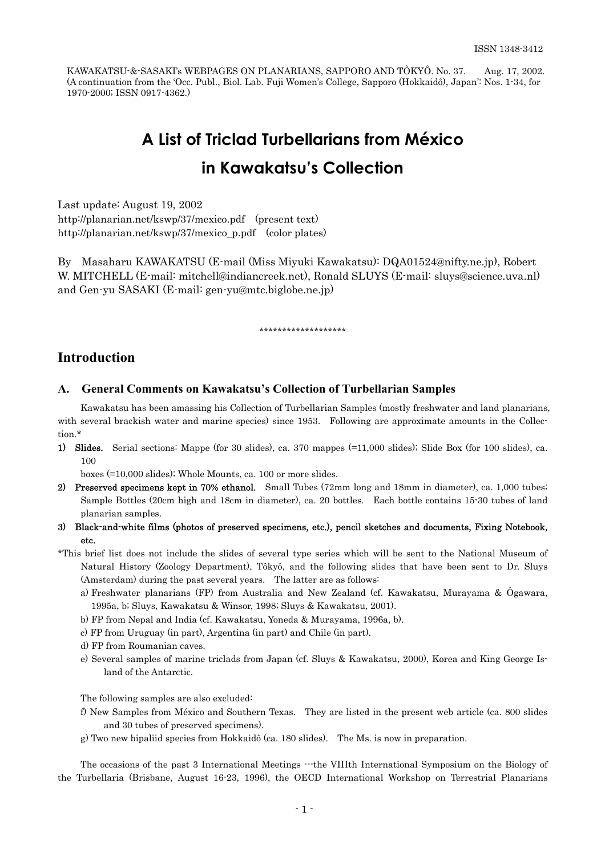KAWAKATSU-&-SASAKI's WEBPAGES ON PLANARIANS, SAPPORO AND TÔKYÔ. No. 37. Aug. 17, 2002. (A continuation from the 'Occ. Publ., Biol. Lab. Fuji Women's College, Sapporo (Hokkaidô), Japan': Nos. 1-34, for 1970-2000; ISSN 0917-4362.)

# **A List of Triclad Turbellarians from México in Kawakatsu's Collection**

Last update: August 19, 2002 http://planarian.net/kswp/37/mexico.pdf (present text) http://planarian.net/kswp/37/mexico\_p.pdf (color plates)

By Masaharu KAWAKATSU (E-mail (Miss Miyuki Kawakatsu): DQA01524@nifty.ne.jp), Robert W. MITCHELL (E-mail: mitchell@indiancreek.net), Ronald SLUYS (E-mail: sluys@science.uva.nl) and Gen-yu SASAKI (E-mail: gen-yu@mtc.biglobe.ne.jp)

#### \*\*\*\*\*\*\*\*\*\*\*\*\*\*\*\*\*\*\*

## **Introduction**

#### **A. General Comments on Kawakatsu's Collection of Turbellarian Samples**

Kawakatsu has been amassing his Collection of Turbellarian Samples (mostly freshwater and land planarians, with several brackish water and marine species) since 1953. Following are approximate amounts in the Collection.\*

1) Slides. Serial sections: Mappe (for 30 slides), ca. 370 mappes (=11,000 slides); Slide Box (for 100 slides), ca. 100

boxes (=10,000 slides); Whole Mounts, ca. 100 or more slides.

- 2) Preserved specimens kept in 70% ethanol. Small Tubes (72mm long and 18mm in diameter), ca. 1,000 tubes; Sample Bottles (20cm high and 18cm in diameter), ca. 20 bottles. Each bottle contains 15-30 tubes of land planarian samples.
- 3) Black-and-white films (photos of preserved specimens, etc.), pencil sketches and documents, Fixing Notebook, etc.
- (Amsterdam) during the past several years. The latter are as follows: \*This brief list does not include the slides of several type series which will be sent to the National Museum of Natural History (Zoology Department), Tôkyô, and the following slides that have been sent to Dr. Sluys
	- a) Freshwater planarians (FP) from Australia and New Zealand (cf. Kawakatsu, Murayama & Ôgawara, 1995a, b; Sluys, Kawakatsu & Winsor, 1998; Sluys & Kawakatsu, 2001).
	- b) FP from Nepal and India (cf. Kawakatsu, Yoneda & Murayama, 1996a, b).
	- c) FP from Uruguay (in part), Argentina (in part) and Chile (in part).
	- d) FP from Roumanian caves.
	- e) Several samples of marine triclads from Japan (cf. Sluys & Kawakatsu, 2000), Korea and King George Island of the Antarctic.

The following samples are also excluded:

- f) New Samples from México and Southern Texas. They are listed in the present web article (ca. 800 slides and 30 tubes of preserved specimens).
- g) Two new bipaliid species from Hokkaidô (ca. 180 slides). The Ms. is now in preparation.

The occasions of the past 3 International Meetings  $\cdots$ the VIIIth International Symposium on the Biology of the Turbellaria (Brisbane, August 16-23, 1996), the OECD International Workshop on Terrestrial Planarians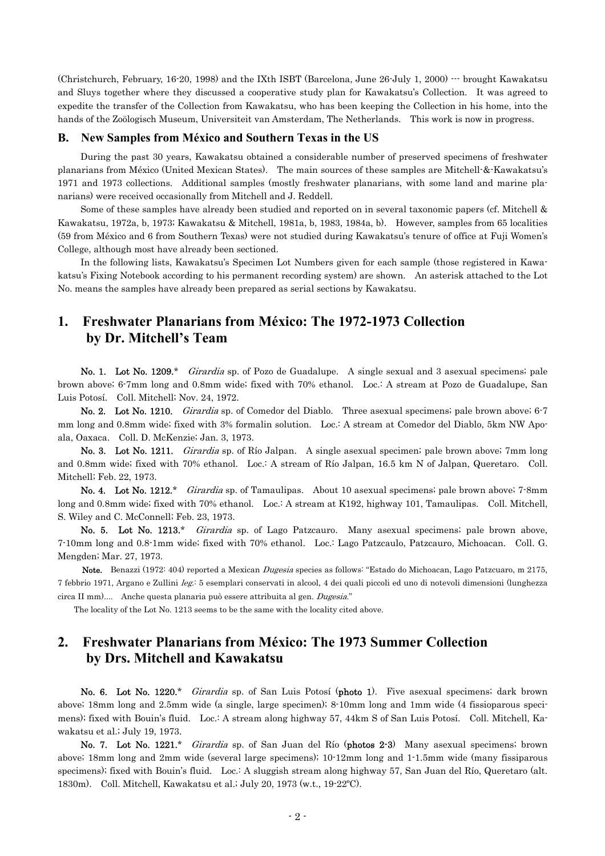(Christchurch, February, 16-20, 1998) and the IXth ISBT (Barcelona, June 26-July 1, 2000) --- brought Kawakatsu and Sluys together where they discussed a cooperative study plan for Kawakatsu's Collection. It was agreed to expedite the transfer of the Collection from Kawakatsu, who has been keeping the Collection in his home, into the hands of the Zoölogisch Museum, Universiteit van Amsterdam, The Netherlands. This work is now in progress.

#### **B. New Samples from México and Southern Texas in the US**

During the past 30 years, Kawakatsu obtained a considerable number of preserved specimens of freshwater planarians from México (United Mexican States). The main sources of these samples are Mitchell-&-Kawakatsu's 1971 and 1973 collections. Additional samples (mostly freshwater planarians, with some land and marine planarians) were received occasionally from Mitchell and J. Reddell.

Some of these samples have already been studied and reported on in several taxonomic papers (cf. Mitchell & Kawakatsu, 1972a, b, 1973; Kawakatsu & Mitchell, 1981a, b, 1983, 1984a, b). However, samples from 65 localities (59 from México and 6 from Southern Texas) were not studied during Kawakatsu's tenure of office at Fuji Women's College, although most have already been sectioned.

 In the following lists, Kawakatsu's Specimen Lot Numbers given for each sample (those registered in Kawakatsu's Fixing Notebook according to his permanent recording system) are shown. An asterisk attached to the Lot No. means the samples have already been prepared as serial sections by Kawakatsu.

# **1. Freshwater Planarians from México: The 1972-1973 Collection by Dr. Mitchell's Team**

No. 1. Lot No. 1209.\* Girardia sp. of Pozo de Guadalupe. A single sexual and 3 asexual specimens; pale brown above; 6-7mm long and 0.8mm wide; fixed with 70% ethanol. Loc.: A stream at Pozo de Guadalupe, San Luis Potosí. Coll. Mitchell; Nov. 24, 1972.

No. 2. Lot No. 1210. *Girardia* sp. of Comedor del Diablo. Three asexual specimens; pale brown above; 6-7 mm long and 0.8mm wide; fixed with 3% formalin solution. Loc.: A stream at Comedor del Diablo, 5km NW Apoala, Oaxaca. Coll. D. McKenzie; Jan. 3, 1973.

No. 3. Lot No. 1211. Girardia sp. of Río Jalpan. A single asexual specimen; pale brown above; 7mm long and 0.8mm wide; fixed with 70% ethanol. Loc.: A stream of Río Jalpan, 16.5 km N of Jalpan, Queretaro. Coll. Mitchell; Feb. 22, 1973.

No. 4. Lot No. 1212.\* Girardia sp. of Tamaulipas. About 10 asexual specimens; pale brown above; 7-8mm long and 0.8mm wide; fixed with 70% ethanol. Loc.: A stream at K192, highway 101, Tamaulipas. Coll. Mitchell, S. Wiley and C. McConnell; Feb. 23, 1973.

No. 5. Lot No. 1213.\* *Girardia* sp. of Lago Patzcauro. Many asexual specimens; pale brown above, 7-10mm long and 0.8-1mm wide; fixed with 70% ethanol. Loc.: Lago Patzcaulo, Patzcauro, Michoacan. Coll. G. Mengden; Mar. 27, 1973.

 Note. Benazzi (1972: 404) reported a Mexican Dugesia species as follows: "Estado do Michoacan, Lago Patzcuaro, m 2175, 7 febbrio 1971, Argano e Zullini leg.: 5 esemplari conservati in alcool, 4 dei quali piccoli ed uno di notevoli dimensioni (lunghezza circa II mm).... Anche questa planaria può essere attribuita al gen. Dugesia."

The locality of the Lot No. 1213 seems to be the same with the locality cited above.

# **2. Freshwater Planarians from México: The 1973 Summer Collection by Drs. Mitchell and Kawakatsu**

No. 6. Lot No. 1220.\* Girardia sp. of San Luis Potosí (photo 1). Five asexual specimens; dark brown above; 18mm long and 2.5mm wide (a single, large specimen); 8-10mm long and 1mm wide (4 fissioparous specimens); fixed with Bouin's fluid. Loc.: A stream along highway 57, 44km S of San Luis Potosí. Coll. Mitchell, Kawakatsu et al.; July 19, 1973.

No. 7. Lot No. 1221.\* Girardia sp. of San Juan del Río (photos 2-3) Many asexual specimens; brown above; 18mm long and 2mm wide (several large specimens); 10-12mm long and 1-1.5mm wide (many fissiparous specimens); fixed with Bouin's fluid. Loc.: A sluggish stream along highway 57, San Juan del Río, Queretaro (alt. 1830m). Coll. Mitchell, Kawakatsu et al.; July 20, 1973 (w.t., 19-22ºC).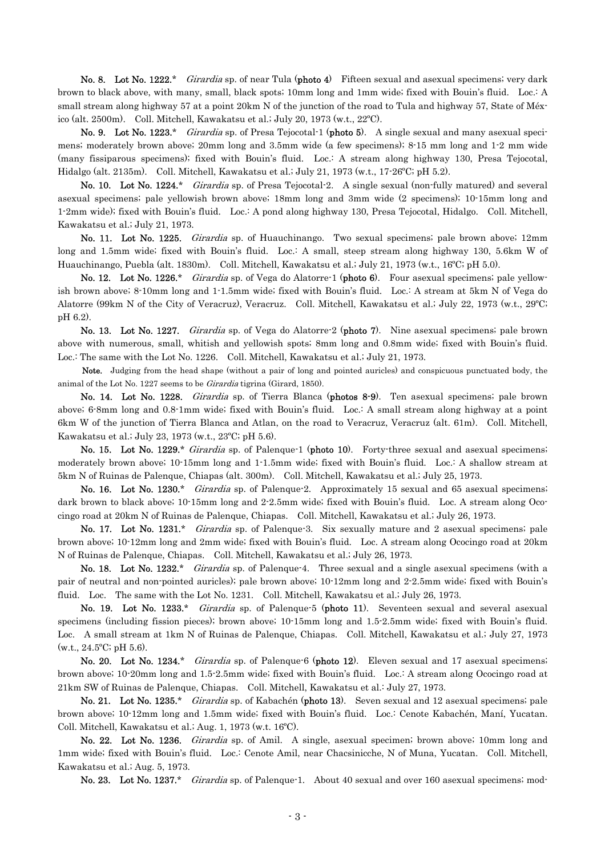No. 8. Lot No. 1222.\* Girardia sp. of near Tula (photo 4) Fifteen sexual and asexual specimens; very dark brown to black above, with many, small, black spots; 10mm long and 1mm wide; fixed with Bouin's fluid. Loc.: A small stream along highway 57 at a point 20km N of the junction of the road to Tula and highway 57, State of México (alt. 2500m). Coll. Mitchell, Kawakatsu et al.; July 20, 1973 (w.t., 22ºC).

No. 9. Lot No. 1223.\* Girardia sp. of Presa Tejocotal-1 (photo 5). A single sexual and many asexual specimens; moderately brown above; 20mm long and 3.5mm wide (a few specimens); 8-15 mm long and 1-2 mm wide (many fissiparous specimens); fixed with Bouin's fluid. Loc.: A stream along highway 130, Presa Tejocotal, Hidalgo (alt. 2135m). Coll. Mitchell, Kawakatsu et al.; July 21, 1973 (w.t., 17-26ºC; pH 5.2).

No. 10. Lot No. 1224.\* Girardia sp. of Presa Tejocotal-2. A single sexual (non-fully matured) and several asexual specimens; pale yellowish brown above; 18mm long and 3mm wide (2 specimens); 10-15mm long and 1-2mm wide); fixed with Bouin's fluid. Loc.: A pond along highway 130, Presa Tejocotal, Hidalgo. Coll. Mitchell, Kawakatsu et al.; July 21, 1973.

No. 11. Lot No. 1225. Girardia sp. of Huauchinango. Two sexual specimens; pale brown above; 12mm long and 1.5mm wide; fixed with Bouin's fluid. Loc.: A small, steep stream along highway 130, 5.6km W of Huauchinango, Puebla (alt. 1830m). Coll. Mitchell, Kawakatsu et al.; July 21, 1973 (w.t., 16ºC; pH 5.0).

No. 12. Lot No. 1226.\* Girardia sp. of Vega do Alatorre-1 (photo 6). Four asexual specimens; pale yellowish brown above; 8-10mm long and 1-1.5mm wide; fixed with Bouin's fluid. Loc.: A stream at 5km N of Vega do Alatorre (99km N of the City of Veracruz), Veracruz. Coll. Mitchell, Kawakatsu et al.; July 22, 1973 (w.t., 29ºC; pH 6.2).

No. 13. Lot No. 1227. *Girardia* sp. of Vega do Alatorre-2 (photo 7). Nine asexual specimens; pale brown above with numerous, small, whitish and yellowish spots; 8mm long and 0.8mm wide; fixed with Bouin's fluid. Loc.: The same with the Lot No. 1226. Coll. Mitchell, Kawakatsu et al.; July 21, 1973.

 Note. Judging from the head shape (without a pair of long and pointed auricles) and conspicuous punctuated body, the animal of the Lot No. 1227 seems to be Girardia tigrina (Girard, 1850).

No. 14. Lot No. 1228. Girardia sp. of Tierra Blanca (photos 8-9). Ten asexual specimens; pale brown above; 6-8mm long and 0.8-1mm wide; fixed with Bouin's fluid. Loc.: A small stream along highway at a point 6km W of the junction of Tierra Blanca and Atlan, on the road to Veracruz, Veracruz (alt. 61m). Coll. Mitchell, Kawakatsu et al.; July 23, 1973 (w.t., 23ºC; pH 5.6).

No. 15. Lot No. 1229.\* Girardia sp. of Palenque-1 (photo 10). Forty-three sexual and asexual specimens; moderately brown above; 10-15mm long and 1-1.5mm wide; fixed with Bouin's fluid. Loc.: A shallow stream at 5km N of Ruinas de Palenque, Chiapas (alt. 300m). Coll. Mitchell, Kawakatsu et al.; July 25, 1973.

No. 16. Lot No. 1230.\* Girardia sp. of Palenque-2. Approximately 15 sexual and 65 asexual specimens; dark brown to black above; 10-15mm long and 2-2.5mm wide; fixed with Bouin's fluid. Loc. A stream along Ococingo road at 20km N of Ruinas de Palenque, Chiapas. Coll. Mitchell, Kawakatsu et al.; July 26, 1973.

No. 17. Lot No. 1231.\* Girardia sp. of Palenque-3. Six sexually mature and 2 asexual specimens; pale brown above; 10-12mm long and 2mm wide; fixed with Bouin's fluid. Loc. A stream along Ococingo road at 20km N of Ruinas de Palenque, Chiapas. Coll. Mitchell, Kawakatsu et al.; July 26, 1973.

No. 18. Lot No. 1232.\* Girardia sp. of Palenque-4. Three sexual and a single asexual specimens (with a pair of neutral and non-pointed auricles); pale brown above; 10-12mm long and 2-2.5mm wide; fixed with Bouin's fluid. Loc. The same with the Lot No. 1231. Coll. Mitchell, Kawakatsu et al.; July 26, 1973.

No. 19. Lot No. 1233.\* *Girardia* sp. of Palenque-5 (photo 11). Seventeen sexual and several asexual specimens (including fission pieces); brown above; 10-15mm long and 1.5-2.5mm wide; fixed with Bouin's fluid. Loc. A small stream at 1km N of Ruinas de Palenque, Chiapas. Coll. Mitchell, Kawakatsu et al.; July 27, 1973  $(w.t., 24.5^{\circ}C; pH 5.6).$ 

No. 20. Lot No. 1234.\* Girardia sp. of Palenque-6 (photo 12). Eleven sexual and 17 asexual specimens; brown above; 10-20mm long and 1.5-2.5mm wide; fixed with Bouin's fluid. Loc.: A stream along Ococingo road at 21km SW of Ruinas de Palenque, Chiapas. Coll. Mitchell, Kawakatsu et al.: July 27, 1973.

No. 21. Lot No. 1235.\* Girardia sp. of Kabachén (photo 13). Seven sexual and 12 asexual specimens; pale brown above; 10-12mm long and 1.5mm wide; fixed with Bouin's fluid. Loc.: Cenote Kabachén, Maní, Yucatan. Coll. Mitchell, Kawakatsu et al.; Aug. 1, 1973 (w.t. 16ºC).

No. 22. Lot No. 1236. *Girardia* sp. of Amil. A single, asexual specimen; brown above; 10mm long and 1mm wide; fixed with Bouin's fluid. Loc.: Cenote Amil, near Chacsinicche, N of Muna, Yucatan. Coll. Mitchell, Kawakatsu et al.; Aug. 5, 1973.

No. 23. Lot No. 1237.\* Girardia sp. of Palenque-1. About 40 sexual and over 160 asexual specimens; mod-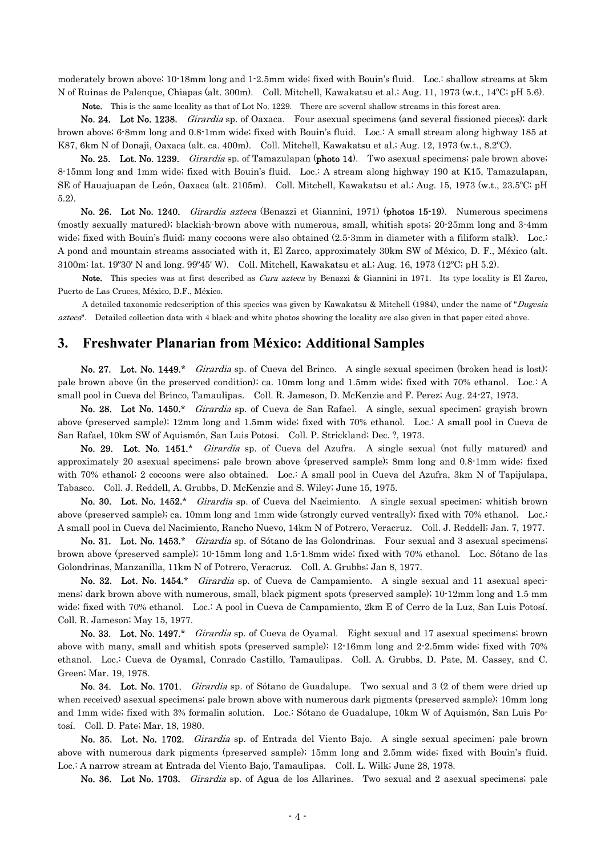moderately brown above; 10-18mm long and 1-2.5mm wide; fixed with Bouin's fluid. Loc.: shallow streams at 5km N of Ruinas de Palenque, Chiapas (alt. 300m). Coll. Mitchell, Kawakatsu et al.; Aug. 11, 1973 (w.t., 14ºC; pH 5.6).

Note. This is the same locality as that of Lot No. 1229. There are several shallow streams in this forest area.

No. 24. Lot No. 1238. *Girardia* sp. of Oaxaca. Four asexual specimens (and several fissioned pieces); dark brown above; 6-8mm long and 0.8-1mm wide; fixed with Bouin's fluid. Loc.: A small stream along highway 185 at K87, 6km N of Donaji, Oaxaca (alt. ca. 400m). Coll. Mitchell, Kawakatsu et al.; Aug. 12, 1973 (w.t., 8.2ºC).

No. 25. Lot. No. 1239. *Girardia* sp. of Tamazulapan (photo 14). Two asexual specimens; pale brown above; 8-15mm long and 1mm wide; fixed with Bouin's fluid. Loc.: A stream along highway 190 at K15, Tamazulapan, SE of Hauajuapan de León, Oaxaca (alt. 2105m). Coll. Mitchell, Kawakatsu et al.; Aug. 15, 1973 (w.t., 23.5ºC; pH 5.2).

 No. 26. Lot No. 1240. Girardia azteca (Benazzi et Giannini, 1971) (photos 15-19). Numerous specimens (mostly sexually matured); blackish-brown above with numerous, small, whitish spots; 20-25mm long and 3-4mm wide; fixed with Bouin's fluid; many cocoons were also obtained (2.5-3mm in diameter with a filiform stalk). Loc.: A pond and mountain streams associated with it, El Zarco, approximately 30km SW of México, D. F., México (alt. 3100m: lat. 19º30' N and long. 99º45' W). Coll. Mitchell, Kawakatsu et al.; Aug. 16, 1973 (12ºC; pH 5.2).

Note. This species was at first described as Cura azteca by Benazzi & Giannini in 1971. Its type locality is El Zarco, Puerto de Las Cruces, México, D.F., México.

A detailed taxonomic redescription of this species was given by Kawakatsu & Mitchell (1984), under the name of "Dugesia azteca". Detailed collection data with 4 black-and-white photos showing the locality are also given in that paper cited above.

#### **3. Freshwater Planarian from México: Additional Samples**

No. 27. Lot. No. 1449.\* *Girardia* sp. of Cueva del Brinco. A single sexual specimen (broken head is lost); pale brown above (in the preserved condition); ca. 10mm long and 1.5mm wide; fixed with 70% ethanol. Loc.: A small pool in Cueva del Brinco, Tamaulipas. Coll. R. Jameson, D. McKenzie and F. Perez; Aug. 24-27, 1973.

 No. 28. Lot No. 1450.\* Girardia sp. of Cueva de San Rafael. A single, sexual specimen; grayish brown above (preserved sample); 12mm long and 1.5mm wide; fixed with 70% ethanol. Loc.: A small pool in Cueva de San Rafael, 10km SW of Aquismón, San Luis Potosí. Coll. P. Strickland; Dec. ?, 1973.

No. 29. Lot. No. 1451.\* Girardia sp. of Cueva del Azufra. A single sexual (not fully matured) and approximately 20 asexual specimens; pale brown above (preserved sample); 8mm long and 0.8-1mm wide; fixed with 70% ethanol; 2 cocoons were also obtained. Loc.: A small pool in Cueva del Azufra, 3km N of Tapijulapa, Tabasco. Coll. J. Reddell, A. Grubbs, D. McKenzie and S. Wiley; June 15, 1975.

No. 30. Lot. No. 1452.\* *Girardia* sp. of Cueva del Nacimiento. A single sexual specimen; whitish brown above (preserved sample); ca. 10mm long and 1mm wide (strongly curved ventrally); fixed with 70% ethanol. Loc.: A small pool in Cueva del Nacimiento, Rancho Nuevo, 14km N of Potrero, Veracruz. Coll. J. Reddell; Jan. 7, 1977.

No. 31. Lot. No. 1453.\* *Girardia* sp. of Sótano de las Golondrinas. Four sexual and 3 asexual specimens; brown above (preserved sample); 10-15mm long and 1.5-1.8mm wide; fixed with 70% ethanol. Loc. Sótano de las Golondrinas, Manzanilla, 11km N of Potrero, Veracruz. Coll. A. Grubbs; Jan 8, 1977.

No. 32. Lot. No. 1454.\* *Girardia* sp. of Cueva de Campamiento. A single sexual and 11 asexual specimens; dark brown above with numerous, small, black pigment spots (preserved sample); 10-12mm long and 1.5 mm wide; fixed with 70% ethanol. Loc.: A pool in Cueva de Campamiento, 2km E of Cerro de la Luz, San Luis Potosí. Coll. R. Jameson; May 15, 1977.

No. 33. Lot. No. 1497.\* Girardia sp. of Cueva de Oyamal. Eight sexual and 17 asexual specimens; brown above with many, small and whitish spots (preserved sample); 12-16mm long and 2-2.5mm wide; fixed with 70% ethanol. Loc.: Cueva de Oyamal, Conrado Castillo, Tamaulipas. Coll. A. Grubbs, D. Pate, M. Cassey, and C. Green; Mar. 19, 1978.

No. 34. Lot. No. 1701. *Girardia* sp. of Sótano de Guadalupe. Two sexual and 3 (2 of them were dried up when received) asexual specimens; pale brown above with numerous dark pigments (preserved sample); 10mm long and 1mm wide; fixed with 3% formalin solution. Loc.: Sótano de Guadalupe, 10km W of Aquismón, San Luis Potosí. Coll. D. Pate; Mar. 18, 1980.

No. 35. Lot. No. 1702. Girardia sp. of Entrada del Viento Bajo. A single sexual specimen; pale brown above with numerous dark pigments (preserved sample); 15mm long and 2.5mm wide; fixed with Bouin's fluid. Loc.: A narrow stream at Entrada del Viento Bajo, Tamaulipas. Coll. L. Wilk; June 28, 1978.

No. 36. Lot No. 1703. *Girardia* sp. of Agua de los Allarines. Two sexual and 2 asexual specimens; pale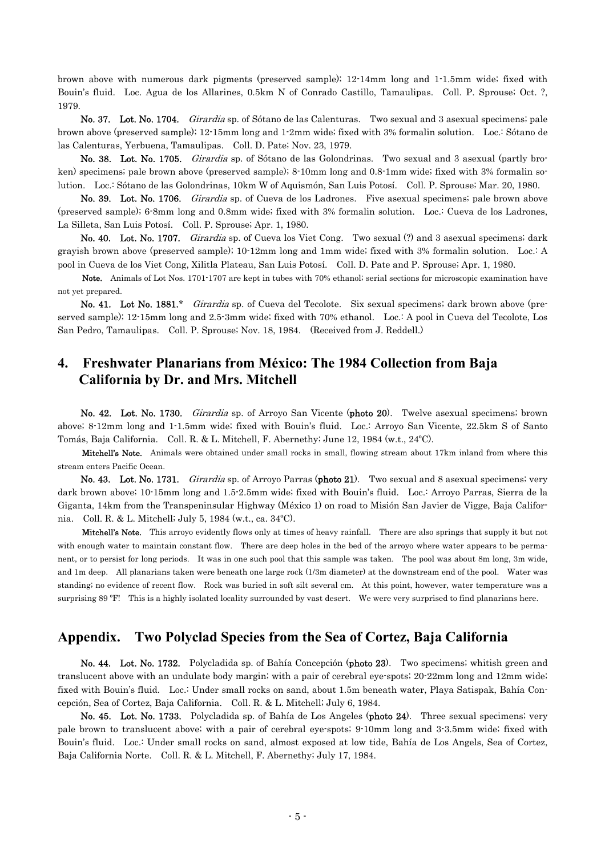brown above with numerous dark pigments (preserved sample); 12-14mm long and 1-1.5mm wide; fixed with Bouin's fluid. Loc. Agua de los Allarines, 0.5km N of Conrado Castillo, Tamaulipas. Coll. P. Sprouse; Oct. ?, 1979.

No. 37. Lot. No. 1704. Girardia sp. of Sótano de las Calenturas. Two sexual and 3 asexual specimens; pale brown above (preserved sample); 12-15mm long and 1-2mm wide; fixed with 3% formalin solution. Loc.: Sótano de las Calenturas, Yerbuena, Tamaulipas. Coll. D. Pate; Nov. 23, 1979.

No. 38. Lot. No. 1705. *Girardia* sp. of Sótano de las Golondrinas. Two sexual and 3 asexual (partly broken) specimens; pale brown above (preserved sample); 8-10mm long and 0.8-1mm wide; fixed with 3% formalin solution. Loc.: Sótano de las Golondrinas, 10km W of Aquismón, San Luis Potosí. Coll. P. Sprouse; Mar. 20, 1980.

No. 39. Lot. No. 1706. *Girardia* sp. of Cueva de los Ladrones. Five asexual specimens; pale brown above (preserved sample); 6-8mm long and 0.8mm wide; fixed with 3% formalin solution. Loc.: Cueva de los Ladrones, La Silleta, San Luis Potosí. Coll. P. Sprouse; Apr. 1, 1980.

No. 40. Lot. No. 1707. Girardia sp. of Cueva los Viet Cong. Two sexual (?) and 3 asexual specimens; dark grayish brown above (preserved sample); 10-12mm long and 1mm wide; fixed with 3% formalin solution. Loc.: A pool in Cueva de los Viet Cong, Xilitla Plateau, San Luis Potosí. Coll. D. Pate and P. Sprouse; Apr. 1, 1980.

 Note. Animals of Lot Nos. 1701-1707 are kept in tubes with 70% ethanol; serial sections for microscopic examination have not yet prepared.

No. 41. Lot No. 1881.\* Girardia sp. of Cueva del Tecolote. Six sexual specimens; dark brown above (preserved sample); 12-15mm long and 2.5-3mm wide; fixed with 70% ethanol. Loc.: A pool in Cueva del Tecolote, Los San Pedro, Tamaulipas. Coll. P. Sprouse; Nov. 18, 1984. (Received from J. Reddell.)

## **4. Freshwater Planarians from México: The 1984 Collection from Baja California by Dr. and Mrs. Mitchell**

 No. 42. Lot. No. 1730. Girardia sp. of Arroyo San Vicente (photo 20). Twelve asexual specimens; brown above; 8-12mm long and 1-1.5mm wide; fixed with Bouin's fluid. Loc.: Arroyo San Vicente, 22.5km S of Santo Tomás, Baja California. Coll. R. & L. Mitchell, F. Abernethy; June 12, 1984 (w.t., 24ºC).

Mitchell's Note. Animals were obtained under small rocks in small, flowing stream about 17km inland from where this stream enters Pacific Ocean.

No. 43. Lot. No. 1731. *Girardia* sp. of Arroyo Parras (photo 21). Two sexual and 8 asexual specimens; very dark brown above; 10-15mm long and 1.5-2.5mm wide; fixed with Bouin's fluid. Loc.: Arroyo Parras, Sierra de la Giganta, 14km from the Transpeninsular Highway (México 1) on road to Misión San Javier de Vigge, Baja California. Coll. R. & L. Mitchell; July 5, 1984 (w.t., ca. 34ºC).

Mitchell's Note. This arroyo evidently flows only at times of heavy rainfall. There are also springs that supply it but not with enough water to maintain constant flow. There are deep holes in the bed of the arroyo where water appears to be permanent, or to persist for long periods. It was in one such pool that this sample was taken. The pool was about 8m long, 3m wide, and 1m deep. All planarians taken were beneath one large rock (1/3m diameter) at the downstream end of the pool. Water was standing; no evidence of recent flow. Rock was buried in soft silt several cm. At this point, however, water temperature was a surprising 89 ºF! This is a highly isolated locality surrounded by vast desert. We were very surprised to find planarians here.

## **Appendix. Two Polyclad Species from the Sea of Cortez, Baja California**

 No. 44. Lot. No. 1732. Polycladida sp. of Bahía Concepción (photo 23). Two specimens; whitish green and translucent above with an undulate body margin; with a pair of cerebral eye-spots; 20-22mm long and 12mm wide; fixed with Bouin's fluid. Loc.: Under small rocks on sand, about 1.5m beneath water, Playa Satispak, Bahía Concepción, Sea of Cortez, Baja California. Coll. R. & L. Mitchell; July 6, 1984.

 No. 45. Lot. No. 1733. Polycladida sp. of Bahía de Los Angeles (photo 24). Three sexual specimens; very pale brown to translucent above; with a pair of cerebral eye-spots; 9-10mm long and 3-3.5mm wide; fixed with Bouin's fluid. Loc.: Under small rocks on sand, almost exposed at low tide, Bahía de Los Angels, Sea of Cortez, Baja California Norte. Coll. R. & L. Mitchell, F. Abernethy; July 17, 1984.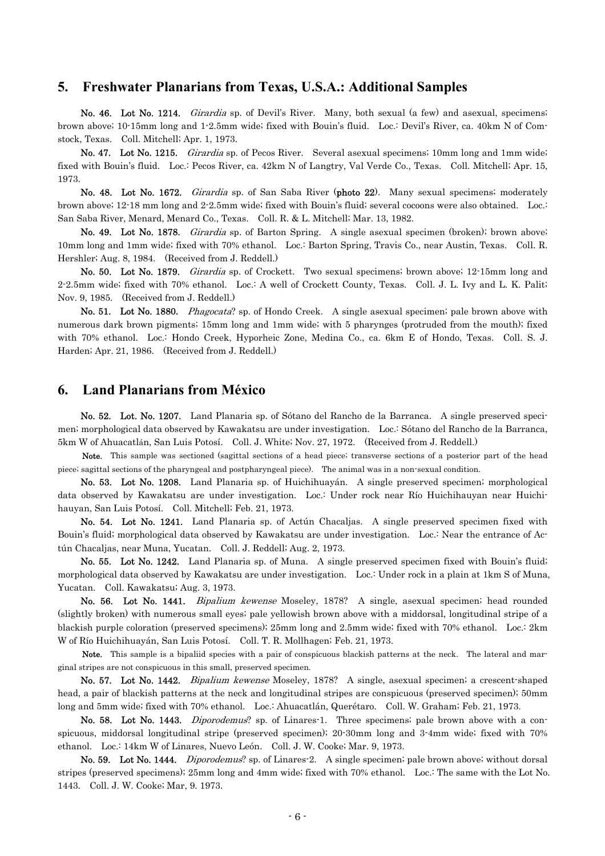#### **5. Freshwater Planarians from Texas, U.S.A.: Additional Samples**

No. 46. Lot No. 1214. *Girardia* sp. of Devil's River. Many, both sexual (a few) and asexual, specimens; brown above; 10-15mm long and 1-2.5mm wide; fixed with Bouin's fluid. Loc.: Devil's River, ca. 40km N of Comstock, Texas. Coll. Mitchell; Apr. 1, 1973.

No. 47. Lot No. 1215. Girardia sp. of Pecos River. Several asexual specimens; 10mm long and 1mm wide; fixed with Bouin's fluid. Loc.: Pecos River, ca. 42km N of Langtry, Val Verde Co., Texas. Coll. Mitchell; Apr. 15, 1973.

No. 48. Lot No. 1672. Girardia sp. of San Saba River (photo 22). Many sexual specimens; moderately brown above; 12-18 mm long and 2-2.5mm wide; fixed with Bouin's fluid; several cocoons were also obtained. Loc.: San Saba River, Menard, Menard Co., Texas. Coll. R. & L. Mitchell; Mar. 13, 1982.

 No. 49. Lot No. 1878. Girardia sp. of Barton Spring. A single asexual specimen (broken); brown above; 10mm long and 1mm wide; fixed with 70% ethanol. Loc.: Barton Spring, Travis Co., near Austin, Texas. Coll. R. Hershler; Aug. 8, 1984. (Received from J. Reddell.)

 No. 50. Lot No. 1879. Girardia sp. of Crockett. Two sexual specimens; brown above; 12-15mm long and 2-2.5mm wide; fixed with 70% ethanol. Loc.: A well of Crockett County, Texas. Coll. J. L. Ivy and L. K. Palit; Nov. 9, 1985. (Received from J. Reddell.)

No. 51. Lot No. 1880. Phagocata? sp. of Hondo Creek. A single asexual specimen; pale brown above with numerous dark brown pigments; 15mm long and 1mm wide; with 5 pharynges (protruded from the mouth); fixed with 70% ethanol. Loc.: Hondo Creek, Hyporheic Zone, Medina Co., ca. 6km E of Hondo, Texas. Coll. S. J. Harden; Apr. 21, 1986. (Received from J. Reddell.)

#### **6. Land Planarians from México**

 No. 52. Lot. No. 1207. Land Planaria sp. of Sótano del Rancho de la Barranca. A single preserved specimen; morphological data observed by Kawakatsu are under investigation. Loc.: Sótano del Rancho de la Barranca, 5km W of Ahuacatlán, San Luis Potosí. Coll. J. White; Nov. 27, 1972. (Received from J. Reddell.)

Note. This sample was sectioned (sagittal sections of a head piece; transverse sections of a posterior part of the head piece; sagittal sections of the pharyngeal and postpharyngeal piece). The animal was in a non-sexual condition.

 No. 53. Lot No. 1208. Land Planaria sp. of Huichihuayán. A single preserved specimen; morphological data observed by Kawakatsu are under investigation. Loc.: Under rock near Río Huichihauyan near Huichihauyan, San Luis Potosí. Coll. Mitchell; Feb. 21, 1973.

 No. 54. Lot No. 1241. Land Planaria sp. of Actún Chacaljas. A single preserved specimen fixed with Bouin's fluid; morphological data observed by Kawakatsu are under investigation. Loc.: Near the entrance of Actún Chacaljas, near Muna, Yucatan. Coll. J. Reddell; Aug. 2, 1973.

 No. 55. Lot No. 1242. Land Planaria sp. of Muna. A single preserved specimen fixed with Bouin's fluid; morphological data observed by Kawakatsu are under investigation. Loc.: Under rock in a plain at 1km S of Muna, Yucatan. Coll. Kawakatsu; Aug. 3, 1973.

No. 56. Lot No. 1441. *Bipalium kewense* Moseley, 1878? A single, asexual specimen; head rounded (slightly broken) with numerous small eyes; pale yellowish brown above with a middorsal, longitudinal stripe of a blackish purple coloration (preserved specimens); 25mm long and 2.5mm wide; fixed with 70% ethanol. Loc.: 2km W of Río Huichihuayán, San Luis Potosí. Coll. T. R. Mollhagen; Feb. 21, 1973.

Note. This sample is a bipaliid species with a pair of conspicuous blackish patterns at the neck. The lateral and marginal stripes are not conspicuous in this small, preserved specimen.

 No. 57. Lot No. 1442. Bipalium kewense Moseley, 1878? A single, asexual specimen; a crescent-shaped head, a pair of blackish patterns at the neck and longitudinal stripes are conspicuous (preserved specimen); 50mm long and 5mm wide; fixed with 70% ethanol. Loc.: Ahuacatlán, Querétaro. Coll. W. Graham; Feb. 21, 1973.

No. 58. Lot No. 1443. *Diporodemus*? sp. of Linares-1. Three specimens; pale brown above with a conspicuous, middorsal longitudinal stripe (preserved specimen); 20-30mm long and 3-4mm wide; fixed with 70% ethanol. Loc.: 14km W of Linares, Nuevo León. Coll. J. W. Cooke; Mar. 9, 1973.

No. 59. Lot No. 1444. Diporodemus? sp. of Linares-2. A single specimen; pale brown above; without dorsal stripes (preserved specimens); 25mm long and 4mm wide; fixed with 70% ethanol. Loc.: The same with the Lot No. 1443. Coll. J. W. Cooke; Mar, 9. 1973.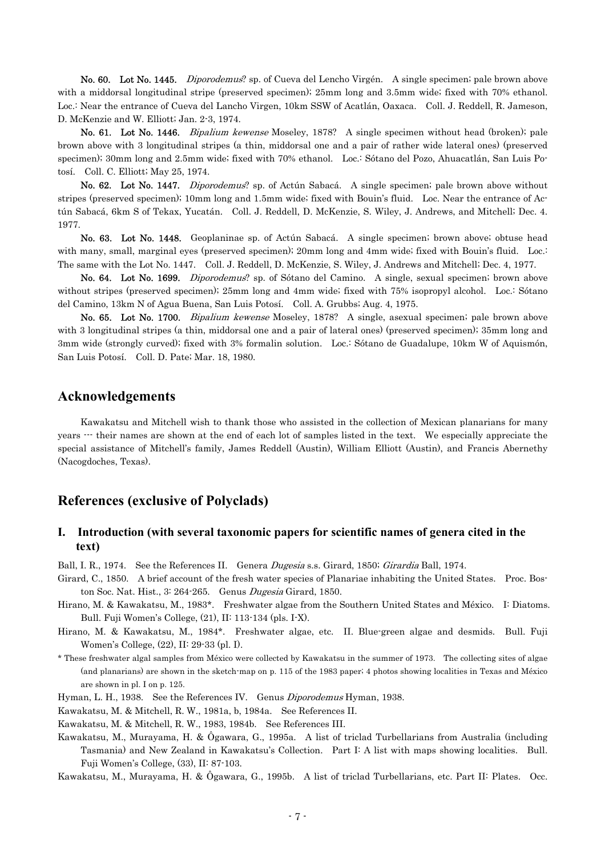No. 60. Lot No. 1445. Diporodemus? sp. of Cueva del Lencho Virgén. A single specimen; pale brown above with a middorsal longitudinal stripe (preserved specimen); 25mm long and 3.5mm wide; fixed with 70% ethanol. Loc.: Near the entrance of Cueva del Lancho Virgen, 10km SSW of Acatlán, Oaxaca. Coll. J. Reddell, R. Jameson, D. McKenzie and W. Elliott; Jan. 2-3, 1974.

No. 61. Lot No. 1446. *Bipalium kewense* Moseley, 1878? A single specimen without head (broken); pale brown above with 3 longitudinal stripes (a thin, middorsal one and a pair of rather wide lateral ones) (preserved specimen); 30mm long and 2.5mm wide; fixed with 70% ethanol. Loc.: Sótano del Pozo, Ahuacatlán, San Luis Potosí. Coll. C. Elliott; May 25, 1974.

No. 62. Lot No. 1447. *Diporodemus*? sp. of Actún Sabacá. A single specimen; pale brown above without stripes (preserved specimen); 10mm long and 1.5mm wide; fixed with Bouin's fluid. Loc. Near the entrance of Actún Sabacá, 6km S of Tekax, Yucatán. Coll. J. Reddell, D. McKenzie, S. Wiley, J. Andrews, and Mitchell; Dec. 4. 1977.

 No. 63. Lot No. 1448. Geoplaninae sp. of Actún Sabacá. A single specimen; brown above; obtuse head with many, small, marginal eyes (preserved specimen); 20mm long and 4mm wide; fixed with Bouin's fluid. Loc.: The same with the Lot No. 1447. Coll. J. Reddell, D. McKenzie, S. Wiley, J. Andrews and Mitchell; Dec. 4, 1977.

 No. 64. Lot No. 1699. Diporodemus? sp. of Sótano del Camino. A single, sexual specimen; brown above without stripes (preserved specimen); 25mm long and 4mm wide; fixed with 75% isopropyl alcohol. Loc.: Sótano del Camino, 13km N of Agua Buena, San Luis Potosí. Coll. A. Grubbs; Aug. 4, 1975.

 No. 65. Lot No. 1700. Bipalium kewense Moseley, 1878? A single, asexual specimen; pale brown above with 3 longitudinal stripes (a thin, middorsal one and a pair of lateral ones) (preserved specimen); 35mm long and 3mm wide (strongly curved); fixed with 3% formalin solution. Loc.: Sótano de Guadalupe, 10km W of Aquismón, San Luis Potosí. Coll. D. Pate; Mar. 18, 1980.

## **Acknowledgements**

 Kawakatsu and Mitchell wish to thank those who assisted in the collection of Mexican planarians for many years  $\cdots$  their names are shown at the end of each lot of samples listed in the text. We especially appreciate the special assistance of Mitchell's family, James Reddell (Austin), William Elliott (Austin), and Francis Abernethy (Nacogdoches, Texas).

## **References (exclusive of Polyclads)**

#### **I. Introduction (with several taxonomic papers for scientific names of genera cited in the text)**

Ball, I. R., 1974. See the References II. Genera Dugesia s.s. Girard, 1850; Girardia Ball, 1974.

- Girard, C., 1850. A brief account of the fresh water species of Planariae inhabiting the United States. Proc. Boston Soc. Nat. Hist., 3: 264-265. Genus Dugesia Girard, 1850.
- Hirano, M. & Kawakatsu, M., 1983\*. Freshwater algae from the Southern United States and México. I: Diatoms. Bull. Fuji Women's College, (21), II: 113-134 (pls. I-X).
- Hirano, M. & Kawakatsu, M., 1984\*. Freshwater algae, etc. II. Blue-green algae and desmids. Bull. Fuji Women's College, (22), II: 29-33 (pl. I).
- \* These freshwater algal samples from México were collected by Kawakatsu in the summer of 1973. The collecting sites of algae (and planarians) are shown in the sketch-map on p. 115 of the 1983 paper; 4 photos showing localities in Texas and México are shown in pl. I on p. 125.

Hyman, L. H., 1938. See the References IV. Genus Diporodemus Hyman, 1938.

Kawakatsu, M. & Mitchell, R. W., 1981a, b, 1984a. See References II.

Kawakatsu, M. & Mitchell, R. W., 1983, 1984b. See References III.

Kawakatsu, M., Murayama, H. & Ôgawara, G., 1995a. A list of triclad Turbellarians from Australia (including Tasmania) and New Zealand in Kawakatsu's Collection. Part I: A list with maps showing localities. Bull. Fuji Women's College, (33), II: 87-103.

Kawakatsu, M., Murayama, H. & Ôgawara, G., 1995b. A list of triclad Turbellarians, etc. Part II: Plates. Occ.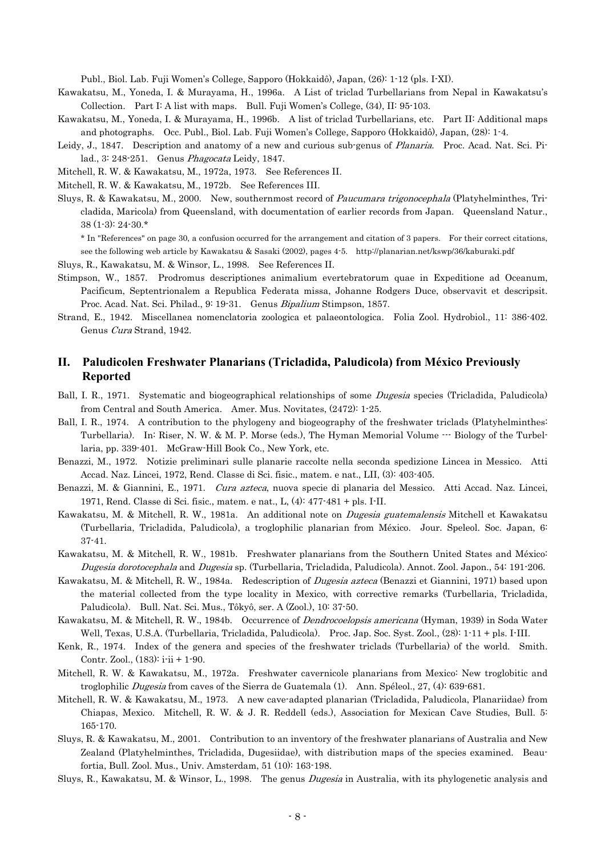Publ., Biol. Lab. Fuji Women's College, Sapporo (Hokkaidô), Japan, (26): 1-12 (pls. I-XI).

- Kawakatsu, M., Yoneda, I. & Murayama, H., 1996a. A List of triclad Turbellarians from Nepal in Kawakatsu's Collection. Part I: A list with maps. Bull. Fuji Women's College, (34), II: 95-103.
- Kawakatsu, M., Yoneda, I. & Murayama, H., 1996b. A list of triclad Turbellarians, etc. Part II: Additional maps and photographs. Occ. Publ., Biol. Lab. Fuji Women's College, Sapporo (Hokkaidô), Japan, (28): 1-4.
- Leidy, J., 1847. Description and anatomy of a new and curious sub-genus of Planaria. Proc. Acad. Nat. Sci. Pilad., 3: 248-251. Genus Phagocata Leidy, 1847.
- Mitchell, R. W. & Kawakatsu, M., 1972a, 1973. See References II.

Mitchell, R. W. & Kawakatsu, M., 1972b. See References III.

Sluys, R. & Kawakatsu, M., 2000. New, southernmost record of Paucumara trigonocephala (Platyhelminthes, Tricladida, Maricola) from Queensland, with documentation of earlier records from Japan. Queensland Natur., 38 (1-3): 24-30.\*

\* In "References" on page 30, a confusion occurred for the arrangement and citation of 3 papers. For their correct citations, see the following web article by Kawakatsu & Sasaki (2002), pages 4-5. http://planarian.net/kswp/36/kaburaki.pdf

- Sluys, R., Kawakatsu, M. & Winsor, L., 1998. See References II.
- Stimpson, W., 1857. Prodromus descriptiones animalium evertebratorum quae in Expeditione ad Oceanum, Pacificum, Septentrionalem a Republica Federata missa, Johanne Rodgers Duce, observavit et descripsit. Proc. Acad. Nat. Sci. Philad., 9: 19-31. Genus Bipalium Stimpson, 1857.

Strand, E., 1942. Miscellanea nomenclatoria zoologica et palaeontologica. Folia Zool. Hydrobiol., 11: 386-402. Genus Cura Strand, 1942.

#### **II. Paludicolen Freshwater Planarians (Tricladida, Paludicola) from México Previously Reported**

- Ball, I. R., 1971. Systematic and biogeographical relationships of some *Dugesia* species (Tricladida, Paludicola) from Central and South America. Amer. Mus. Novitates, (2472): 1-25.
- Ball, I. R., 1974. A contribution to the phylogeny and biogeography of the freshwater triclads (Platyhelminthes: Turbellaria). In: Riser, N. W. & M. P. Morse (eds.), The Hyman Memorial Volume  $\cdots$  Biology of the Turbellaria, pp. 339-401. McGraw-Hill Book Co., New York, etc.
- Benazzi, M., 1972. Notizie preliminari sulle planarie raccolte nella seconda spedizione Lincea in Messico. Atti Accad. Naz. Lincei, 1972, Rend. Classe di Sci. fisic., matem. e nat., LII, (3): 403-405.
- Benazzi, M. & Giannini, E., 1971. *Cura azteca*, nuova specie di planaria del Messico. Atti Accad. Naz. Lincei, 1971, Rend. Classe di Sci. fisic., matem. e nat., L, (4): 477-481 + pls. I-II.
- Kawakatsu, M. & Mitchell, R. W., 1981a. An additional note on *Dugesia guatemalensis* Mitchell et Kawakatsu (Turbellaria, Tricladida, Paludicola), a troglophilic planarian from México. Jour. Speleol. Soc. Japan, 6: 37-41.
- Dugesia dorotocephala and Dugesia sp. (Turbellaria, Tricladida, Paludicola). Annot. Zool. Japon., 54: 191-206. Kawakatsu, M. & Mitchell, R. W., 1981b. Freshwater planarians from the Southern United States and México:
- Paludicola). Bull. Nat. Sci. Mus., Tôkyô, ser. A (Zool.), 10: 37-50. Kawakatsu, M. & Mitchell, R. W., 1984a. Redescription of Dugesia azteca (Benazzi et Giannini, 1971) based upon the material collected from the type locality in Mexico, with corrective remarks (Turbellaria, Tricladida,
- Kawakatsu, M. & Mitchell, R. W., 1984b. Occurrence of Dendrocoelopsis americana (Hyman, 1939) in Soda Water Well, Texas, U.S.A. (Turbellaria, Tricladida, Paludicola). Proc. Jap. Soc. Syst. Zool., (28): 1-11 + pls. I-III.
- Kenk, R., 1974. Index of the genera and species of the freshwater triclads (Turbellaria) of the world. Smith. Contr. Zool., (183): i-ii + 1-90.
- Mitchell, R. W. & Kawakatsu, M., 1972a. Freshwater cavernicole planarians from Mexico: New troglobitic and troglophilic Dugesia from caves of the Sierra de Guatemala (1). Ann. Spéleol., 27, (4): 639-681.
- Mitchell, R. W. & Kawakatsu, M., 1973. A new cave-adapted planarian (Tricladida, Paludicola, Planariidae) from Chiapas, Mexico. Mitchell, R. W. & J. R. Reddell (eds.), Association for Mexican Cave Studies, Bull. 5: 165-170.
- Sluys, R. & Kawakatsu, M., 2001. Contribution to an inventory of the freshwater planarians of Australia and New Zealand (Platyhelminthes, Tricladida, Dugesiidae), with distribution maps of the species examined. Beaufortia, Bull. Zool. Mus., Univ. Amsterdam, 51 (10): 163-198.

Sluys, R., Kawakatsu, M. & Winsor, L., 1998. The genus Dugesia in Australia, with its phylogenetic analysis and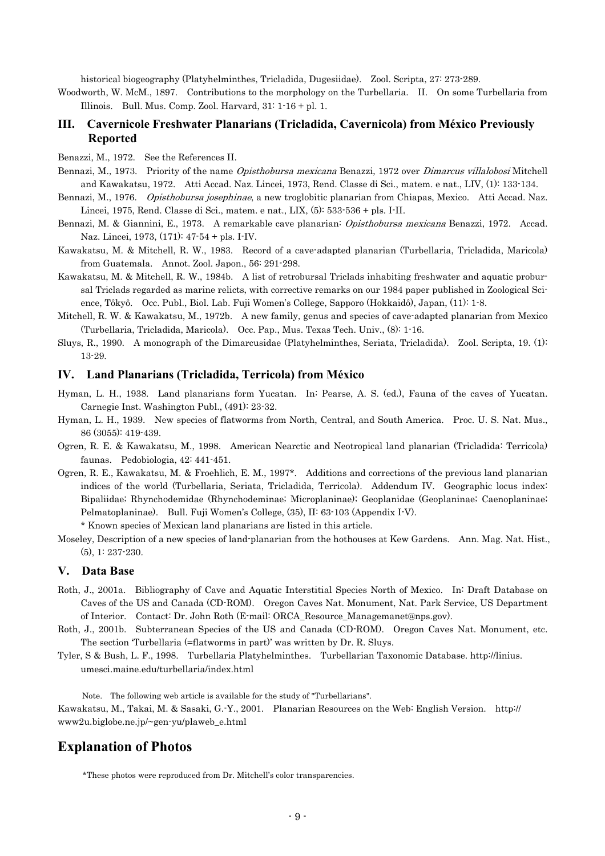historical biogeography (Platyhelminthes, Tricladida, Dugesiidae). Zool. Scripta, 27: 273-289.

Woodworth, W. McM., 1897. Contributions to the morphology on the Turbellaria. II. On some Turbellaria from Illinois. Bull. Mus. Comp. Zool. Harvard, 31: 1-16 + pl. 1.

#### **III. Cavernicole Freshwater Planarians (Tricladida, Cavernicola) from México Previously Reported**

Benazzi, M., 1972. See the References II.

- Bennazi, M., 1973. Priority of the name *Opisthobursa mexicana* Benazzi, 1972 over *Dimarcus villalobosi* Mitchell and Kawakatsu, 1972. Atti Accad. Naz. Lincei, 1973, Rend. Classe di Sci., matem. e nat., LIV, (1): 133-134.
- Bennazi, M., 1976. *Opisthobursa josephinae*, a new troglobitic planarian from Chiapas, Mexico. Atti Accad. Naz. Lincei, 1975, Rend. Classe di Sci., matem. e nat., LIX, (5): 533-536 + pls. I-II.
- Bennazi, M. & Giannini, E., 1973. A remarkable cave planarian: *Opisthobursa mexicana* Benazzi, 1972. Accad. Naz. Lincei, 1973, (171): 47-54 + pls. I-IV.
- Kawakatsu, M. & Mitchell, R. W., 1983. Record of a cave-adapted planarian (Turbellaria, Tricladida, Maricola) from Guatemala. Annot. Zool. Japon., 56: 291-298.
- Kawakatsu, M. & Mitchell, R. W., 1984b. A list of retrobursal Triclads inhabiting freshwater and aquatic probursal Triclads regarded as marine relicts, with corrective remarks on our 1984 paper published in Zoological Science, Tôkyô. Occ. Publ., Biol. Lab. Fuji Women's College, Sapporo (Hokkaidô), Japan, (11): 1-8.
- Mitchell, R. W. & Kawakatsu, M., 1972b. A new family, genus and species of cave-adapted planarian from Mexico (Turbellaria, Tricladida, Maricola). Occ. Pap., Mus. Texas Tech. Univ., (8): 1-16.
- Sluys, R., 1990. A monograph of the Dimarcusidae (Platyhelminthes, Seriata, Tricladida). Zool. Scripta, 19. (1): 13-29.

#### **IV. Land Planarians (Tricladida, Terricola) from México**

- Hyman, L. H., 1938. Land planarians form Yucatan. In: Pearse, A. S. (ed.), Fauna of the caves of Yucatan. Carnegie Inst. Washington Publ., (491): 23-32.
- Hyman, L. H., 1939. New species of flatworms from North, Central, and South America. Proc. U. S. Nat. Mus., 86 (3055): 419-439.
- Ogren, R. E. & Kawakatsu, M., 1998. American Nearctic and Neotropical land planarian (Tricladida: Terricola) faunas. Pedobiologia, 42: 441-451.
- Ogren, R. E., Kawakatsu, M. & Froehlich, E. M., 1997\*. Additions and corrections of the previous land planarian indices of the world (Turbellaria, Seriata, Tricladida, Terricola). Addendum IV. Geographic locus index: Bipaliidae; Rhynchodemidae (Rhynchodeminae; Microplaninae); Geoplanidae (Geoplaninae; Caenoplaninae; Pelmatoplaninae). Bull. Fuji Women's College, (35), II: 63-103 (Appendix I-V).
	- \* Known species of Mexican land planarians are listed in this article.
- Moseley, Description of a new species of land-planarian from the hothouses at Kew Gardens. Ann. Mag. Nat. Hist., (5), 1: 237-230.

#### **V. Data Base**

- Roth, J., 2001a. Bibliography of Cave and Aquatic Interstitial Species North of Mexico. In: Draft Database on Caves of the US and Canada (CD-ROM). Oregon Caves Nat. Monument, Nat. Park Service, US Department of Interior. Contact: Dr. John Roth (E-mail: ORCA\_Resource\_Managemanet@nps.gov).
- Roth, J., 2001b. Subterranean Species of the US and Canada (CD-ROM). Oregon Caves Nat. Monument, etc. The section 'Turbellaria (=flatworms in part)' was written by Dr. R. Sluys.
- Tyler, S & Bush, L. F., 1998. Turbellaria Platyhelminthes. Turbellarian Taxonomic Database. http://linius. umesci.maine.edu/turbellaria/index.html

Note. The following web article is available for the study of "Turbellarians".

Kawakatsu, M., Takai, M. & Sasaki, G.-Y., 2001. Planarian Resources on the Web: English Version. http:// www2u.biglobe.ne.jp/~gen-yu/plaweb\_e.html

#### **Explanation of Photos**

\*These photos were reproduced from Dr. Mitchell's color transparencies.